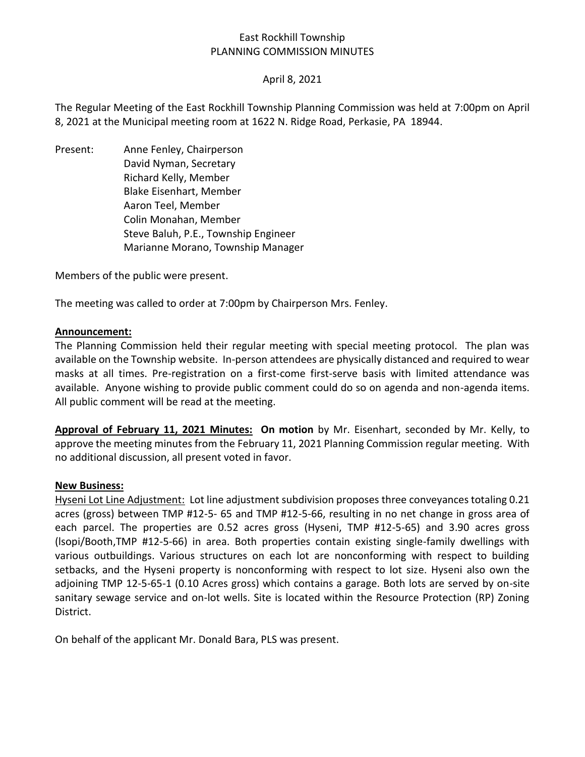# East Rockhill Township PLANNING COMMISSION MINUTES

## April 8, 2021

The Regular Meeting of the East Rockhill Township Planning Commission was held at 7:00pm on April 8, 2021 at the Municipal meeting room at 1622 N. Ridge Road, Perkasie, PA 18944.

Present: Anne Fenley, Chairperson David Nyman, Secretary Richard Kelly, Member Blake Eisenhart, Member Aaron Teel, Member Colin Monahan, Member Steve Baluh, P.E., Township Engineer Marianne Morano, Township Manager

Members of the public were present.

The meeting was called to order at 7:00pm by Chairperson Mrs. Fenley.

#### **Announcement:**

The Planning Commission held their regular meeting with special meeting protocol. The plan was available on the Township website. In-person attendees are physically distanced and required to wear masks at all times. Pre-registration on a first-come first-serve basis with limited attendance was available. Anyone wishing to provide public comment could do so on agenda and non-agenda items. All public comment will be read at the meeting.

**Approval of February 11, 2021 Minutes: On motion** by Mr. Eisenhart, seconded by Mr. Kelly, to approve the meeting minutes from the February 11, 2021 Planning Commission regular meeting. With no additional discussion, all present voted in favor.

#### **New Business:**

Hyseni Lot Line Adjustment: Lot line adjustment subdivision proposes three conveyances totaling 0.21 acres (gross) between TMP #12-5- 65 and TMP #12-5-66, resulting in no net change in gross area of each parcel. The properties are 0.52 acres gross (Hyseni, TMP #12-5-65) and 3.90 acres gross (lsopi/Booth,TMP #12-5-66) in area. Both properties contain existing single-family dwellings with various outbuildings. Various structures on each lot are nonconforming with respect to building setbacks, and the Hyseni property is nonconforming with respect to lot size. Hyseni also own the adjoining TMP 12-5-65-1 (0.10 Acres gross) which contains a garage. Both lots are served by on-site sanitary sewage service and on-lot wells. Site is located within the Resource Protection (RP) Zoning District.

On behalf of the applicant Mr. Donald Bara, PLS was present.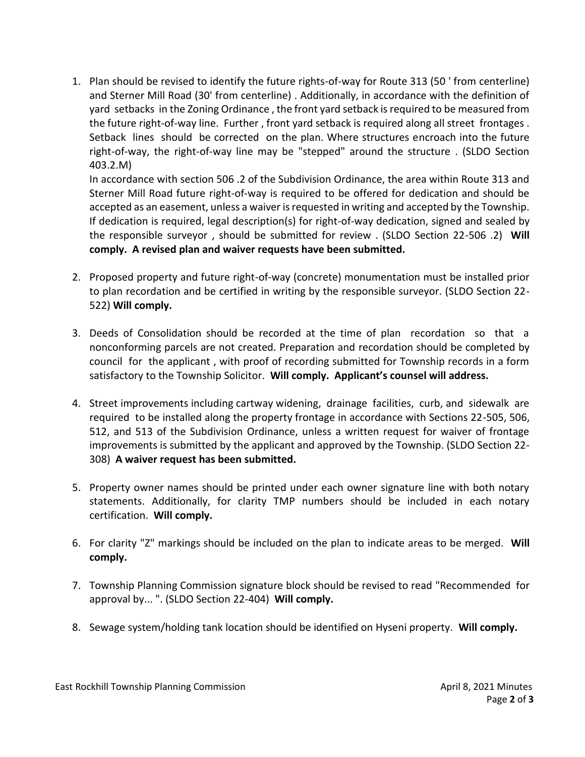1. Plan should be revised to identify the future rights-of-way for Route 313 (50 ' from centerline) and Sterner Mill Road (30' from centerline) . Additionally, in accordance with the definition of yard setbacks in the Zoning Ordinance , the front yard setback is required to be measured from the future right-of-way line. Further , front yard setback is required along all street frontages . Setback lines should be corrected on the plan. Where structures encroach into the future right-of-way, the right-of-way line may be "stepped" around the structure . (SLDO Section 403.2.M)

In accordance with section 506 .2 of the Subdivision Ordinance, the area within Route 313 and Sterner Mill Road future right-of-way is required to be offered for dedication and should be accepted as an easement, unless a waiver is requested in writing and accepted by the Township. If dedication is required, legal description(s) for right-of-way dedication, signed and sealed by the responsible surveyor , should be submitted for review . (SLDO Section 22-506 .2) **Will comply. A revised plan and waiver requests have been submitted.**

- 2. Proposed property and future right-of-way (concrete) monumentation must be installed prior to plan recordation and be certified in writing by the responsible surveyor. (SLDO Section 22- 522) **Will comply.**
- 3. Deeds of Consolidation should be recorded at the time of plan recordation so that a nonconforming parcels are not created. Preparation and recordation should be completed by council for the applicant , with proof of recording submitted for Township records in a form satisfactory to the Township Solicitor. **Will comply. Applicant's counsel will address.**
- 4. Street improvements including cartway widening, drainage facilities, curb, and sidewalk are required to be installed along the property frontage in accordance with Sections 22-505, 506, 512, and 513 of the Subdivision Ordinance, unless a written request for waiver of frontage improvements is submitted by the applicant and approved by the Township. (SLDO Section 22- 308) **A waiver request has been submitted.**
- 5. Property owner names should be printed under each owner signature line with both notary statements. Additionally, for clarity TMP numbers should be included in each notary certification. **Will comply.**
- 6. For clarity "Z" markings should be included on the plan to indicate areas to be merged. **Will comply.**
- 7. Township Planning Commission signature block should be revised to read "Recommended for approval by... ". (SLDO Section 22-404) **Will comply.**
- 8. Sewage system/holding tank location should be identified on Hyseni property. **Will comply.**